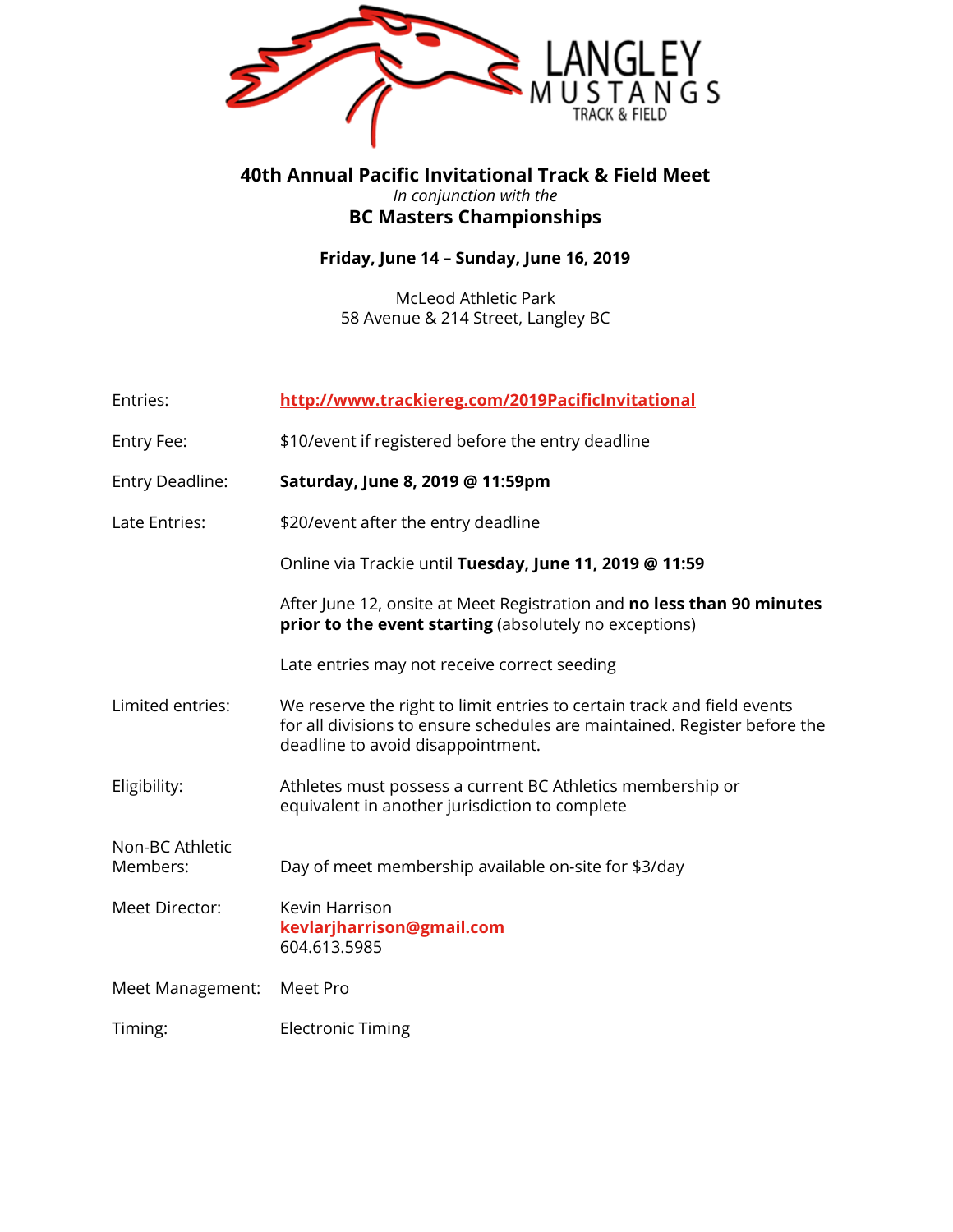

### **40th Annual Pacific Invitational Track & Field Meet** *In conjunction with the* **BC Masters Championships**

### **Friday, June 14 – Sunday, June 16, 2019**

McLeod Athletic Park 58 Avenue & 214 Street, Langley BC

| Entries:                    | http://www.trackiereg.com/2019PacificInvitational                                                                                                                                         |
|-----------------------------|-------------------------------------------------------------------------------------------------------------------------------------------------------------------------------------------|
| Entry Fee:                  | \$10/event if registered before the entry deadline                                                                                                                                        |
| Entry Deadline:             | Saturday, June 8, 2019 @ 11:59pm                                                                                                                                                          |
| Late Entries:               | \$20/event after the entry deadline                                                                                                                                                       |
|                             | Online via Trackie until Tuesday, June 11, 2019 @ 11:59                                                                                                                                   |
|                             | After June 12, onsite at Meet Registration and no less than 90 minutes<br>prior to the event starting (absolutely no exceptions)                                                          |
|                             | Late entries may not receive correct seeding                                                                                                                                              |
| Limited entries:            | We reserve the right to limit entries to certain track and field events<br>for all divisions to ensure schedules are maintained. Register before the<br>deadline to avoid disappointment. |
| Eligibility:                | Athletes must possess a current BC Athletics membership or<br>equivalent in another jurisdiction to complete                                                                              |
| Non-BC Athletic<br>Members: | Day of meet membership available on-site for \$3/day                                                                                                                                      |
| Meet Director:              | Kevin Harrison<br>kevlarjharrison@gmail.com<br>604.613.5985                                                                                                                               |
| Meet Management:            | Meet Pro                                                                                                                                                                                  |
| Timing:                     | <b>Electronic Timing</b>                                                                                                                                                                  |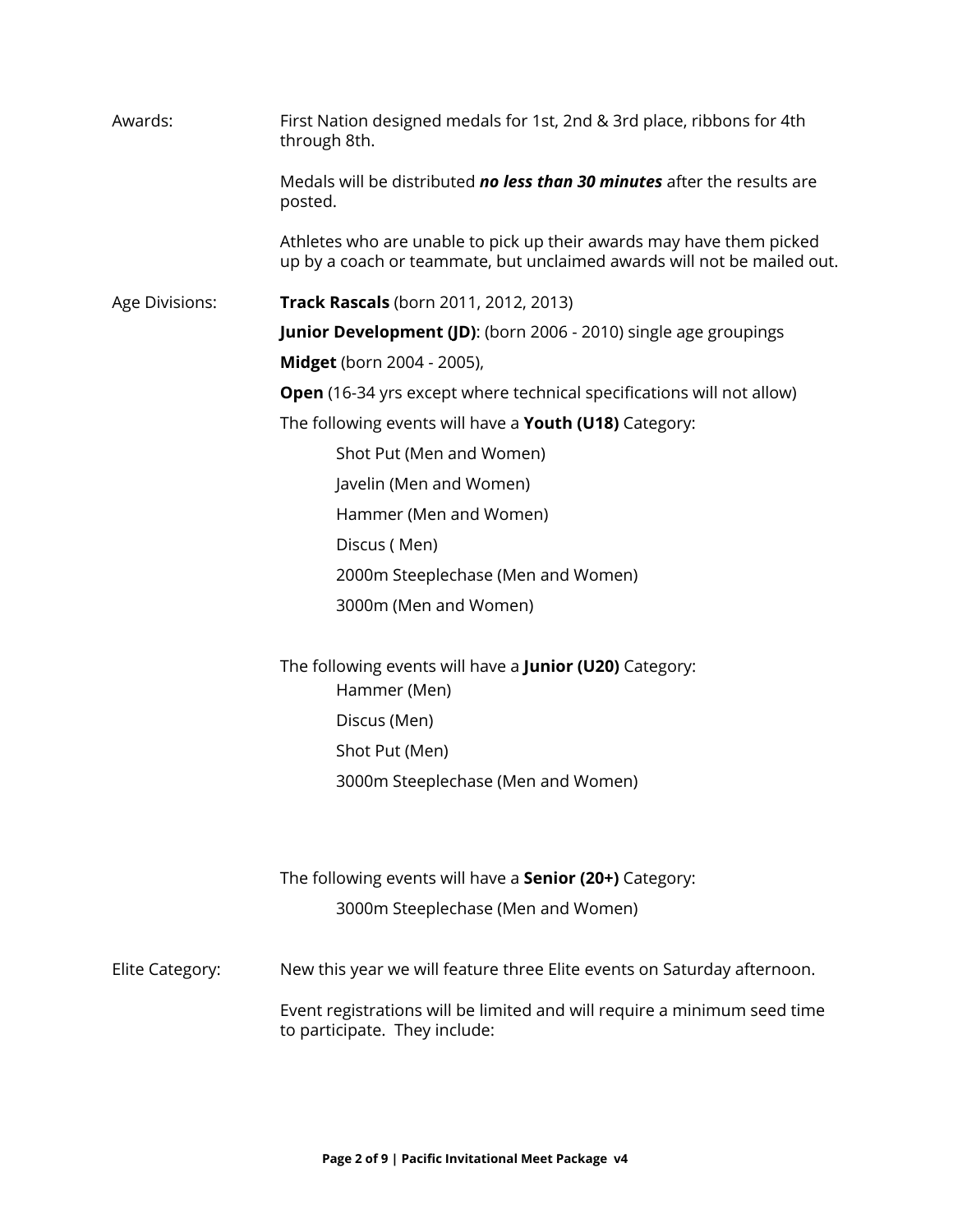| Awards:         | First Nation designed medals for 1st, 2nd & 3rd place, ribbons for 4th<br>through 8th.                                                          |  |  |  |  |  |
|-----------------|-------------------------------------------------------------------------------------------------------------------------------------------------|--|--|--|--|--|
|                 | Medals will be distributed no less than 30 minutes after the results are<br>posted.                                                             |  |  |  |  |  |
|                 | Athletes who are unable to pick up their awards may have them picked<br>up by a coach or teammate, but unclaimed awards will not be mailed out. |  |  |  |  |  |
| Age Divisions:  | <b>Track Rascals</b> (born 2011, 2012, 2013)                                                                                                    |  |  |  |  |  |
|                 | <b>Junior Development (JD):</b> (born 2006 - 2010) single age groupings                                                                         |  |  |  |  |  |
|                 | <b>Midget</b> (born 2004 - 2005),                                                                                                               |  |  |  |  |  |
|                 | <b>Open</b> (16-34 yrs except where technical specifications will not allow)                                                                    |  |  |  |  |  |
|                 | The following events will have a Youth (U18) Category:                                                                                          |  |  |  |  |  |
|                 | Shot Put (Men and Women)                                                                                                                        |  |  |  |  |  |
|                 | Javelin (Men and Women)                                                                                                                         |  |  |  |  |  |
|                 | Hammer (Men and Women)                                                                                                                          |  |  |  |  |  |
|                 | Discus (Men)                                                                                                                                    |  |  |  |  |  |
|                 | 2000m Steeplechase (Men and Women)                                                                                                              |  |  |  |  |  |
|                 | 3000m (Men and Women)                                                                                                                           |  |  |  |  |  |
|                 | The following events will have a <b>Junior (U20)</b> Category:<br>Hammer (Men)                                                                  |  |  |  |  |  |
|                 | Discus (Men)                                                                                                                                    |  |  |  |  |  |
|                 | Shot Put (Men)                                                                                                                                  |  |  |  |  |  |
|                 | 3000m Steeplechase (Men and Women)                                                                                                              |  |  |  |  |  |
|                 | The following events will have a <b>Senior (20+)</b> Category:                                                                                  |  |  |  |  |  |
|                 | 3000m Steeplechase (Men and Women)                                                                                                              |  |  |  |  |  |
| Elite Category: | New this year we will feature three Elite events on Saturday afternoon.                                                                         |  |  |  |  |  |
|                 | Event registrations will be limited and will require a minimum seed time<br>to participate. They include:                                       |  |  |  |  |  |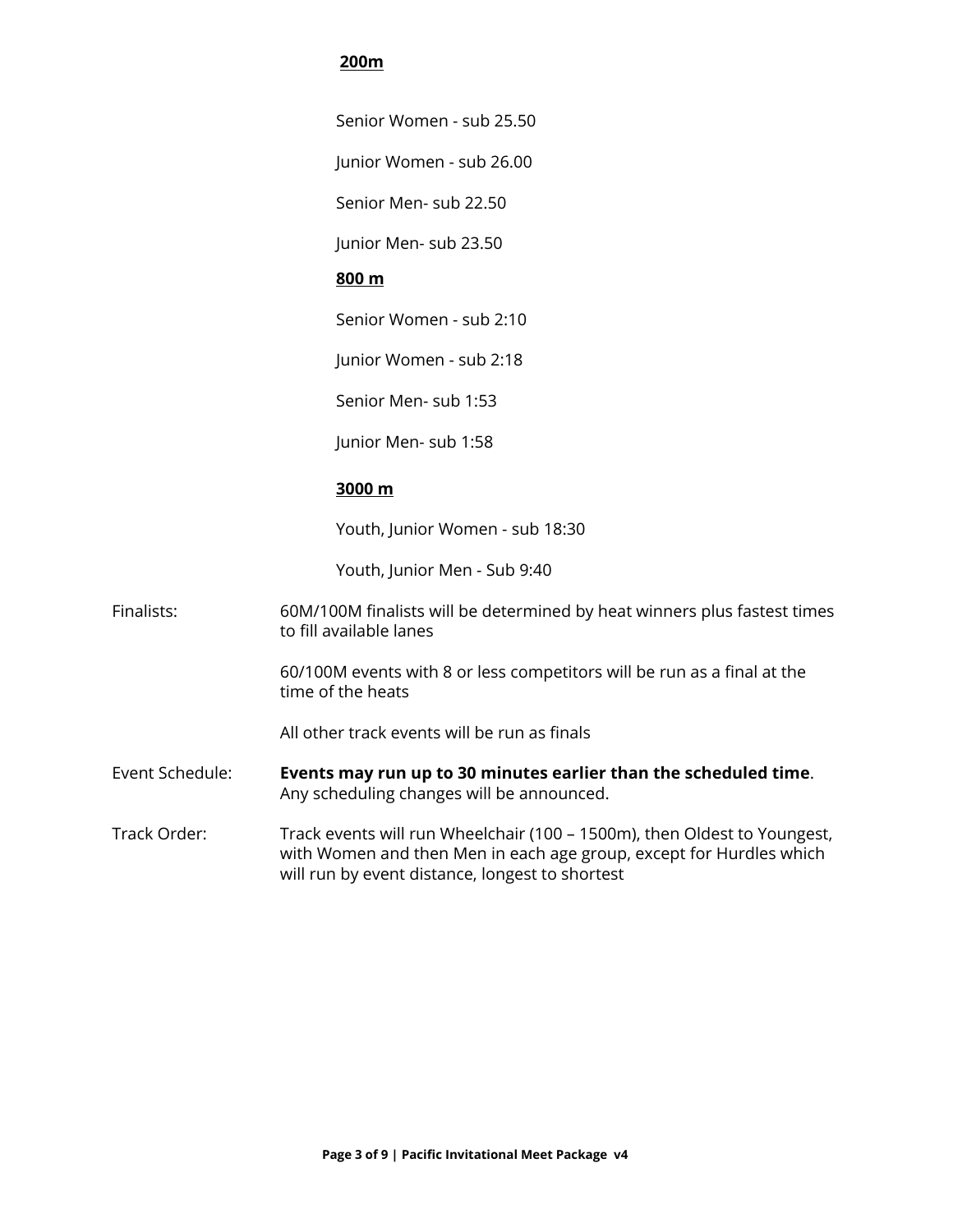#### **200m**

Senior Women - sub 25.50

Junior Women - sub 26.00

Senior Men- sub 22.50

Junior Men- sub 23.50

#### **800 m**

Senior Women - sub 2:10

Junior Women - sub 2:18

Senior Men- sub 1:53

Junior Men- sub 1:58

#### **3000 m**

Youth, Junior Women - sub 18:30

Youth, Junior Men - Sub 9:40

Finalists: 60M/100M finalists will be determined by heat winners plus fastest times to fill available lanes

> 60/100M events with 8 or less competitors will be run as a final at the time of the heats

All other track events will be run as finals

- Event Schedule: **Events may run up to 30 minutes earlier than the scheduled time**. Any scheduling changes will be announced.
- Track Order: Track events will run Wheelchair (100 1500m), then Oldest to Youngest, with Women and then Men in each age group, except for Hurdles which will run by event distance, longest to shortest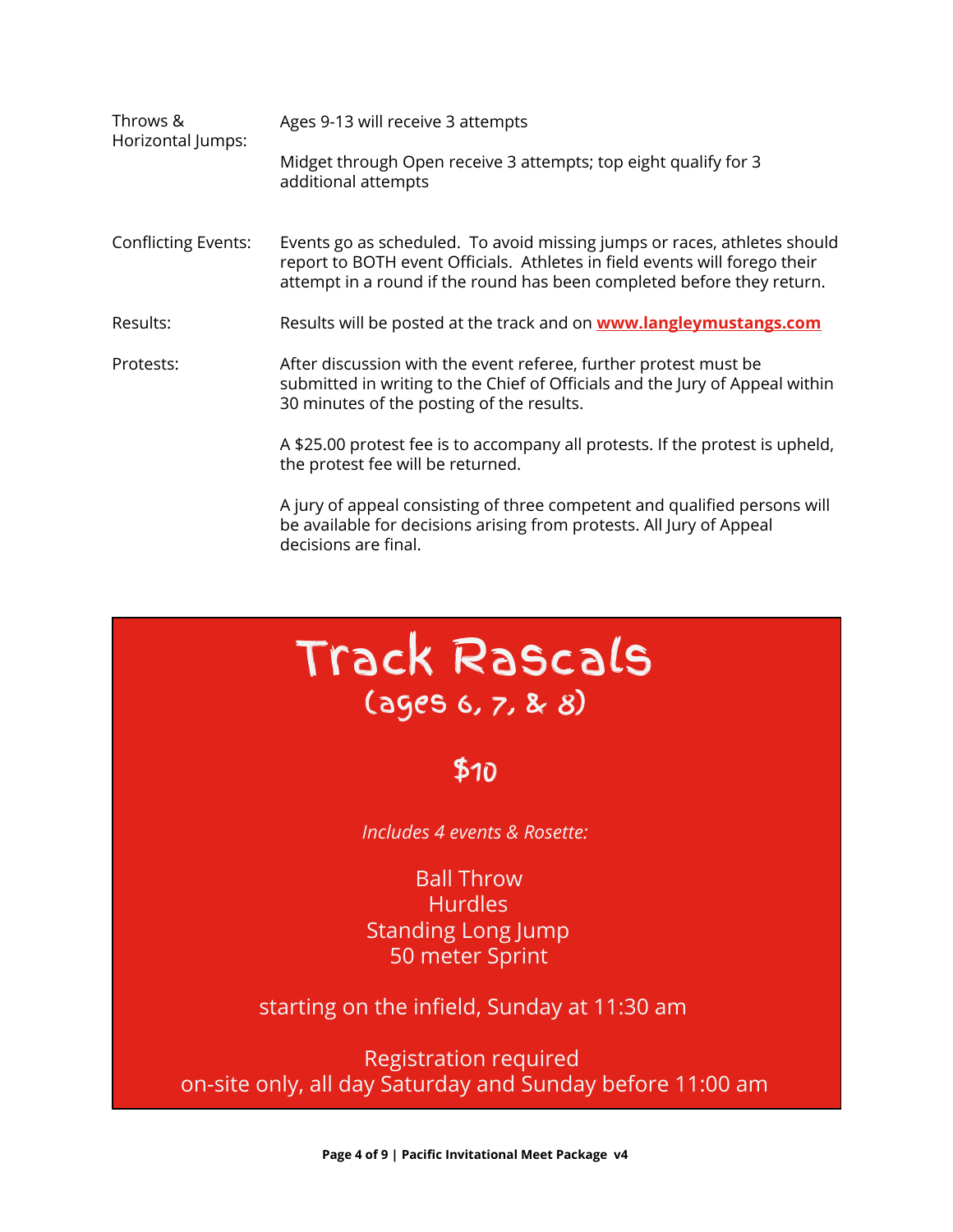| Throws &<br>Horizontal Jumps: | Ages 9-13 will receive 3 attempts                                                                                                                                                                                                |  |  |  |  |
|-------------------------------|----------------------------------------------------------------------------------------------------------------------------------------------------------------------------------------------------------------------------------|--|--|--|--|
|                               | Midget through Open receive 3 attempts; top eight qualify for 3<br>additional attempts                                                                                                                                           |  |  |  |  |
| <b>Conflicting Events:</b>    | Events go as scheduled. To avoid missing jumps or races, athletes should<br>report to BOTH event Officials. Athletes in field events will forego their<br>attempt in a round if the round has been completed before they return. |  |  |  |  |
| Results:                      | Results will be posted at the track and on <b>www.langleymustangs.com</b>                                                                                                                                                        |  |  |  |  |
| Protests:                     | After discussion with the event referee, further protest must be<br>submitted in writing to the Chief of Officials and the Jury of Appeal within<br>30 minutes of the posting of the results.                                    |  |  |  |  |
|                               | A \$25.00 protest fee is to accompany all protests. If the protest is upheld,<br>the protest fee will be returned.                                                                                                               |  |  |  |  |
|                               | A jury of appeal consisting of three competent and qualified persons will<br>be available for decisions arising from protests. All Jury of Appeal<br>decisions are final.                                                        |  |  |  |  |

Track Rascals

# (ages 6, 7, & 8)

## \$10

 *Includes 4 events & Rosette:*

**Ball Throw Hurdles** Standing Long Jump 50 meter Sprint

starting on the infield, Sunday at 11:30 am

Registration required on-site only, all day Saturday and Sunday before 11:00 am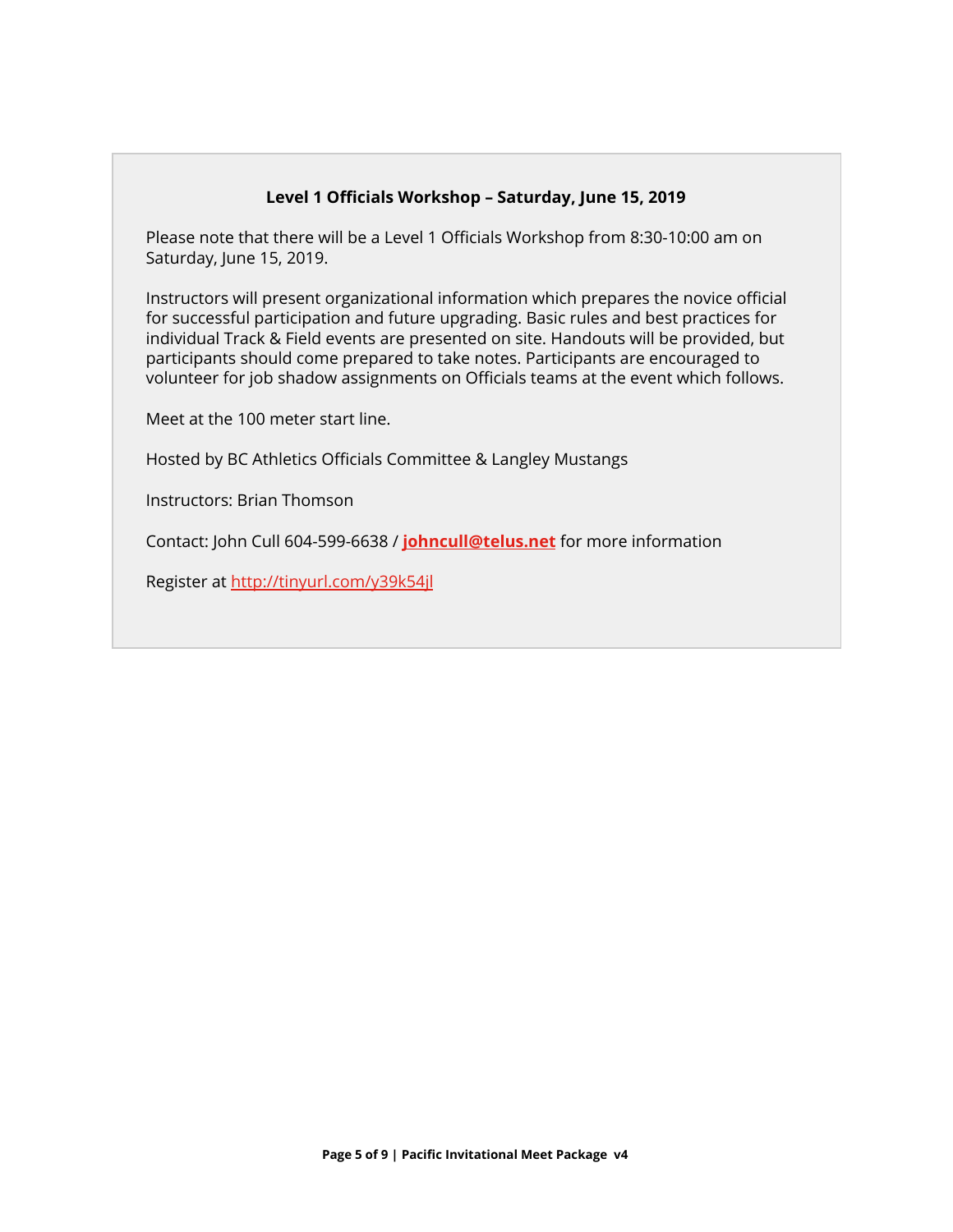#### **Level 1 Officials Workshop – Saturday, June 15, 2019**

Please note that there will be a Level 1 Officials Workshop from 8:30-10:00 am on Saturday, June 15, 2019.

Instructors will present organizational information which prepares the novice official for successful participation and future upgrading. Basic rules and best practices for individual Track & Field events are presented on site. Handouts will be provided, but participants should come prepared to take notes. Participants are encouraged to volunteer for job shadow assignments on Officials teams at the event which follows.

Meet at the 100 meter start line.

Hosted by BC Athletics Officials Committee & Langley Mustangs

Instructors: Brian Thomson

Contact: John Cull 604-599-6638 / **[johncull@telus.net](mailto:johncull@telus.net)** for more information

Register at<http://tinyurl.com/y39k54jl>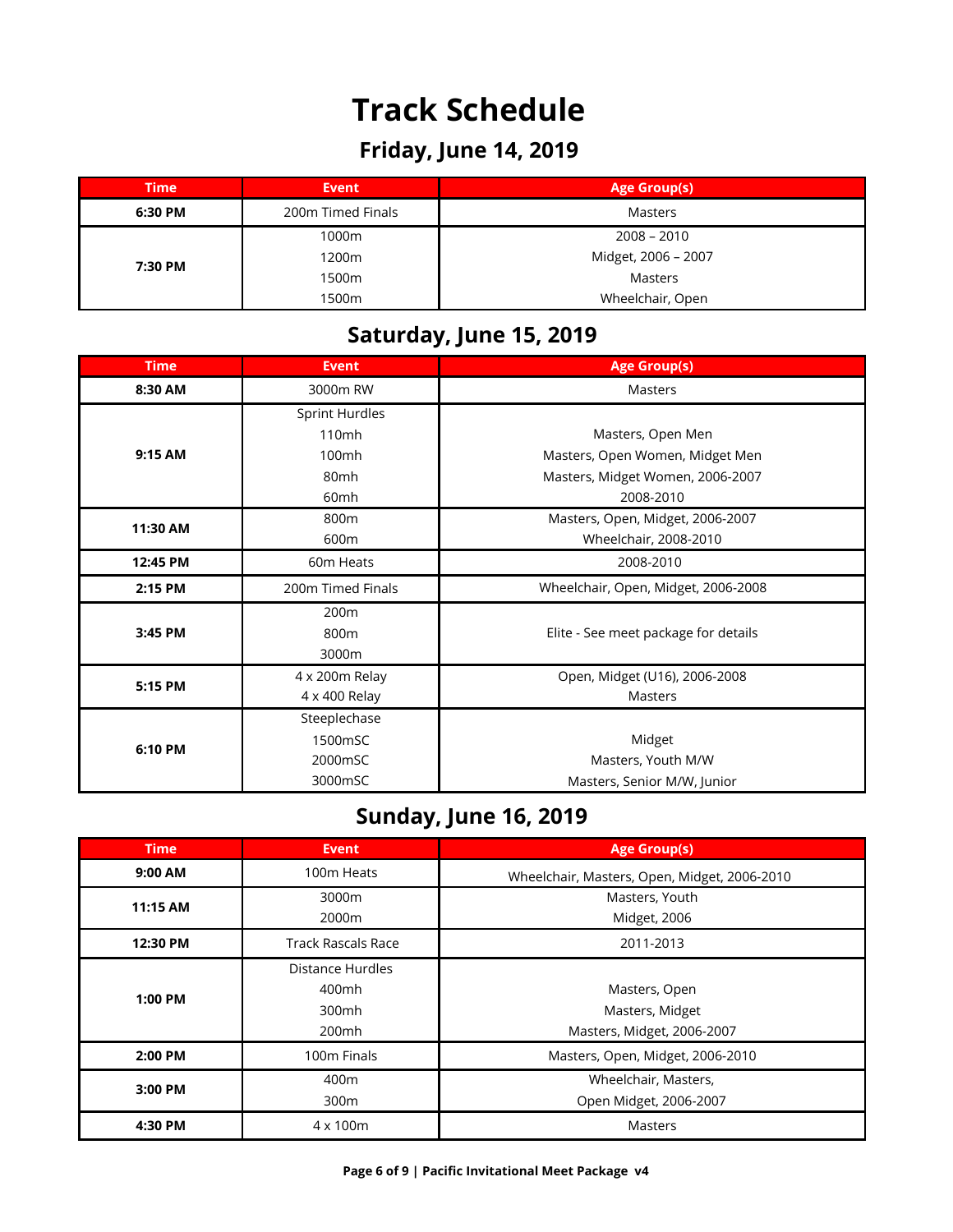# **Track Schedule**

### **Friday, June 14, 2019**

| <b>Time</b><br>Event |                              | Age Group(s)        |  |  |  |
|----------------------|------------------------------|---------------------|--|--|--|
| 6:30 PM              | 200m Timed Finals<br>Masters |                     |  |  |  |
| 7:30 PM              | 1000m                        | $2008 - 2010$       |  |  |  |
|                      | 1200m                        | Midget, 2006 - 2007 |  |  |  |
|                      | 1500m                        | Masters             |  |  |  |
|                      | 1500m                        | Wheelchair, Open    |  |  |  |

### **Saturday, June 15, 2019**

| <b>Time</b> | <b>Event</b>                        | <b>Age Group(s)</b>                  |  |  |  |  |
|-------------|-------------------------------------|--------------------------------------|--|--|--|--|
| 8:30 AM     | 3000m RW                            | Masters                              |  |  |  |  |
|             | <b>Sprint Hurdles</b>               |                                      |  |  |  |  |
|             | 110mh                               | Masters, Open Men                    |  |  |  |  |
| 9:15 AM     | 100mh                               | Masters, Open Women, Midget Men      |  |  |  |  |
|             | 80mh                                | Masters, Midget Women, 2006-2007     |  |  |  |  |
|             | 60mh                                | 2008-2010                            |  |  |  |  |
| 11:30 AM    | 800m                                | Masters, Open, Midget, 2006-2007     |  |  |  |  |
|             | 600m                                | Wheelchair, 2008-2010                |  |  |  |  |
| 12:45 PM    | 60m Heats                           | 2008-2010                            |  |  |  |  |
| 2:15 PM     | Wheelchair, Open, Midget, 2006-2008 |                                      |  |  |  |  |
|             | 200 <sub>m</sub>                    |                                      |  |  |  |  |
| 3:45 PM     | 800m                                | Elite - See meet package for details |  |  |  |  |
|             | 3000m                               |                                      |  |  |  |  |
|             | 4 x 200m Relay                      | Open, Midget (U16), 2006-2008        |  |  |  |  |
| 5:15 PM     | 4 x 400 Relay                       | Masters                              |  |  |  |  |
|             | Steeplechase                        |                                      |  |  |  |  |
| 6:10 PM     | 1500mSC                             | Midget                               |  |  |  |  |
|             | 2000mSC                             | Masters, Youth M/W                   |  |  |  |  |
|             | 3000mSC                             | Masters, Senior M/W, Junior          |  |  |  |  |

## **Sunday, June 16, 2019**

| <b>Time</b>                                        | <b>Event</b>                                | <b>Age Group(s)</b>                                            |  |  |  |
|----------------------------------------------------|---------------------------------------------|----------------------------------------------------------------|--|--|--|
| 9:00 AM                                            | 100m Heats                                  | Wheelchair, Masters, Open, Midget, 2006-2010                   |  |  |  |
| 11:15 AM                                           | 3000m<br>2000m                              | Masters, Youth<br>Midget, 2006                                 |  |  |  |
| <b>Track Rascals Race</b><br>12:30 PM<br>2011-2013 |                                             |                                                                |  |  |  |
| $1:00$ PM                                          | Distance Hurdles<br>400mh<br>300mh<br>200mh | Masters, Open<br>Masters, Midget<br>Masters, Midget, 2006-2007 |  |  |  |
| 2:00 PM                                            | 100m Finals                                 | Masters, Open, Midget, 2006-2010                               |  |  |  |
| 400m<br>3:00 PM<br>300m                            |                                             | Wheelchair, Masters,<br>Open Midget, 2006-2007                 |  |  |  |
| 4:30 PM                                            | $4 \times 100$ m                            | Masters                                                        |  |  |  |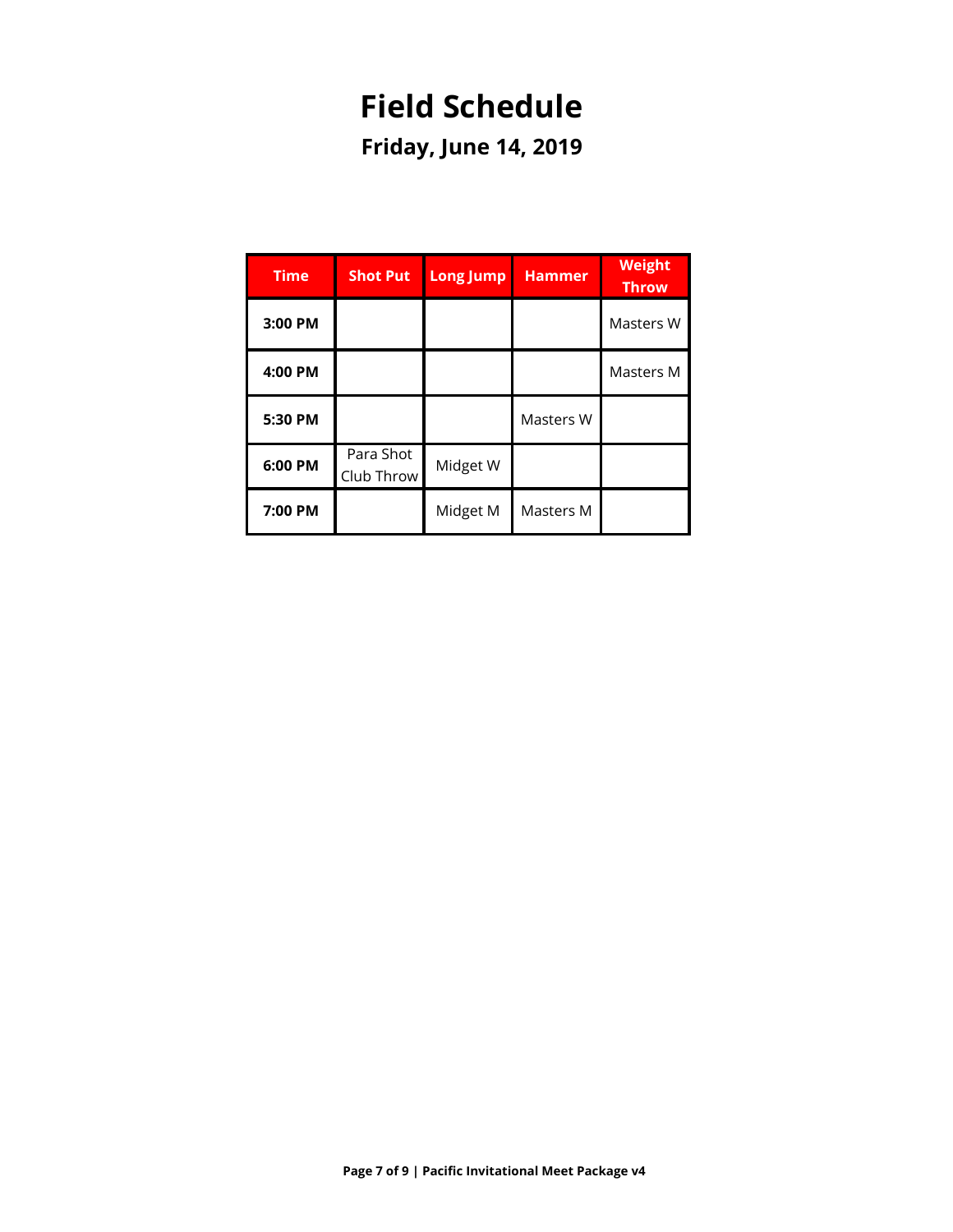# **Field Schedule**

**Friday, June 14, 2019**

| <b>Time</b> | <b>Shot Put</b>         | <b>Long Jump</b> | <b>Hammer</b> | <b>Weight</b><br><b>Throw</b> |
|-------------|-------------------------|------------------|---------------|-------------------------------|
| 3:00 PM     |                         |                  |               | Masters W                     |
| 4:00 PM     |                         |                  |               | Masters M                     |
| 5:30 PM     |                         |                  | Masters W     |                               |
| 6:00 PM     | Para Shot<br>Club Throw | Midget W         |               |                               |
| 7:00 PM     |                         | Midget M         | Masters M     |                               |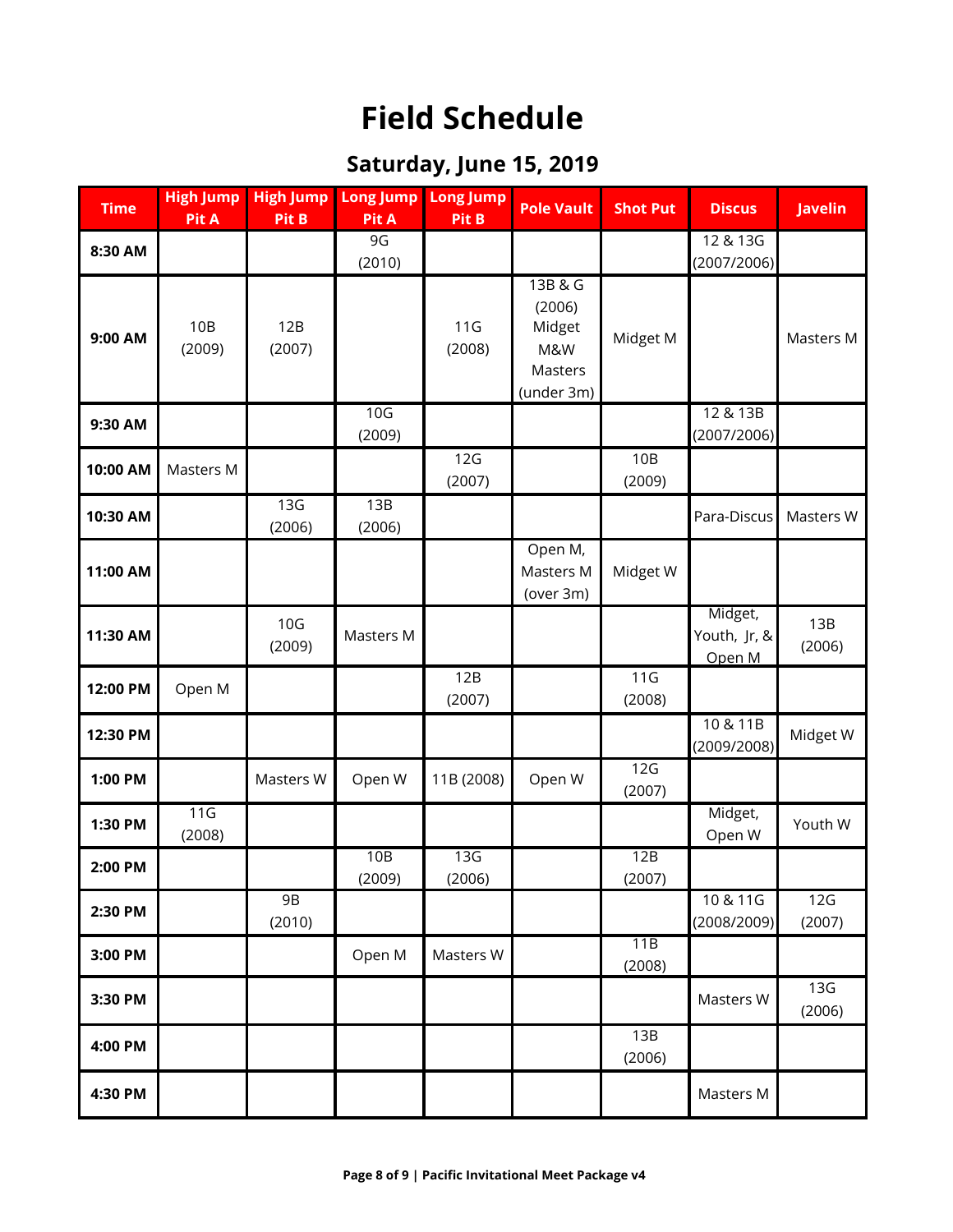# **Field Schedule**

## **Saturday, June 15, 2019**

| <b>Time</b> | <b>High Jump</b><br>Pit A | <b>High Jump</b><br>Pit B | <b>Long Jump</b><br>Pit A | <b>Long Jump</b><br>Pit B | <b>Pole Vault</b>                                           | <b>Shot Put</b> | <b>Discus</b>                     | <b>Javelin</b> |
|-------------|---------------------------|---------------------------|---------------------------|---------------------------|-------------------------------------------------------------|-----------------|-----------------------------------|----------------|
| 8:30 AM     |                           |                           | 9G<br>(2010)              |                           |                                                             |                 | 12 & 13G<br>(2007/2006)           |                |
| 9:00 AM     | 10B<br>(2009)             | 12B<br>(2007)             |                           | 11G<br>(2008)             | 13B & G<br>(2006)<br>Midget<br>M&W<br>Masters<br>(under 3m) | Midget M        |                                   | Masters M      |
| 9:30 AM     |                           |                           | 10 <sub>G</sub><br>(2009) |                           |                                                             |                 | 12 & 13B<br>(2007/2006)           |                |
| 10:00 AM    | Masters M                 |                           |                           | 12G<br>(2007)             |                                                             | 10B<br>(2009)   |                                   |                |
| 10:30 AM    |                           | 13G<br>(2006)             | 13B<br>(2006)             |                           |                                                             |                 | Para-Discus                       | Masters W      |
| 11:00 AM    |                           |                           |                           |                           | Open M,<br>Masters M<br>(over 3m)                           | Midget W        |                                   |                |
| 11:30 AM    |                           | 10 <sub>G</sub><br>(2009) | Masters M                 |                           |                                                             |                 | Midget,<br>Youth, Jr, &<br>Open M | 13B<br>(2006)  |
| 12:00 PM    | Open M                    |                           |                           | 12B<br>(2007)             |                                                             | 11G<br>(2008)   |                                   |                |
| 12:30 PM    |                           |                           |                           |                           |                                                             |                 | 10 & 11B<br>(2009/2008)           | Midget W       |
| 1:00 PM     |                           | Masters W                 | Open W                    | 11B (2008)                | Open W                                                      | 12G<br>(2007)   |                                   |                |
| 1:30 PM     | 11G<br>(2008)             |                           |                           |                           |                                                             |                 | Midget,<br>Open W                 | Youth W        |
| 2:00 PM     |                           |                           | 10B<br>(2009)             | 13G<br>(2006)             |                                                             | 12B<br>(2007)   |                                   |                |
| 2:30 PM     |                           | <b>9B</b><br>(2010)       |                           |                           |                                                             |                 | 10 & 11G<br>(2008/2009)           | 12G<br>(2007)  |
| 3:00 PM     |                           |                           | Open M                    | Masters W                 |                                                             | 11B<br>(2008)   |                                   |                |
| 3:30 PM     |                           |                           |                           |                           |                                                             |                 | Masters W                         | 13G<br>(2006)  |
| 4:00 PM     |                           |                           |                           |                           |                                                             | 13B<br>(2006)   |                                   |                |
| 4:30 PM     |                           |                           |                           |                           |                                                             |                 | Masters M                         |                |